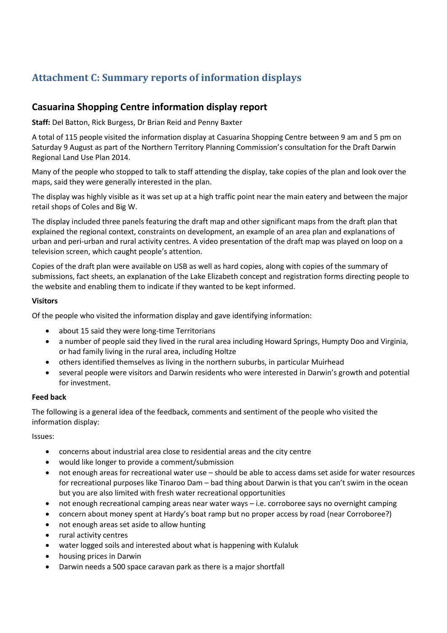# **Attachment C: Summary reports of information displays**

# **Casuarina Shopping Centre information display report**

**Staff:** Del Batton, Rick Burgess, Dr Brian Reid and Penny Baxter

A total of 115 people visited the information display at Casuarina Shopping Centre between 9 am and 5 pm on Saturday 9 August as part of the Northern Territory Planning Commission's consultation for the Draft Darwin Regional Land Use Plan 2014.

Many of the people who stopped to talk to staff attending the display, take copies of the plan and look over the maps, said they were generally interested in the plan.

The display was highly visible as it was set up at a high traffic point near the main eatery and between the major retail shops of Coles and Big W.

The display included three panels featuring the draft map and other significant maps from the draft plan that explained the regional context, constraints on development, an example of an area plan and explanations of urban and peri-urban and rural activity centres. A video presentation of the draft map was played on loop on a television screen, which caught people's attention.

Copies of the draft plan were available on USB as well as hard copies, along with copies of the summary of submissions, fact sheets, an explanation of the Lake Elizabeth concept and registration forms directing people to the website and enabling them to indicate if they wanted to be kept informed.

## **Visitors**

Of the people who visited the information display and gave identifying information:

- about 15 said they were long-time Territorians
- a number of people said they lived in the rural area including Howard Springs, Humpty Doo and Virginia, or had family living in the rural area, including Holtze
- others identified themselves as living in the northern suburbs, in particular Muirhead
- several people were visitors and Darwin residents who were interested in Darwin's growth and potential for investment.

## **Feed back**

The following is a general idea of the feedback, comments and sentiment of the people who visited the information display:

Issues:

- concerns about industrial area close to residential areas and the city centre
- would like longer to provide a comment/submission
- not enough areas for recreational water use should be able to access dams set aside for water resources for recreational purposes like Tinaroo Dam – bad thing about Darwin is that you can't swim in the ocean but you are also limited with fresh water recreational opportunities
- not enough recreational camping areas near water ways i.e. corroboree says no overnight camping
- concern about money spent at Hardy's boat ramp but no proper access by road (near Corroboree?)
- not enough areas set aside to allow hunting
- rural activity centres
- water logged soils and interested about what is happening with Kulaluk
- housing prices in Darwin
- Darwin needs a 500 space caravan park as there is a major shortfall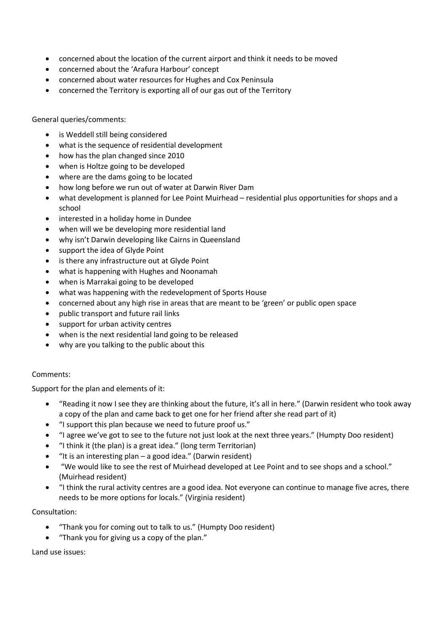- concerned about the location of the current airport and think it needs to be moved
- concerned about the 'Arafura Harbour' concept
- concerned about water resources for Hughes and Cox Peninsula
- concerned the Territory is exporting all of our gas out of the Territory

General queries/comments:

- is Weddell still being considered
- what is the sequence of residential development
- how has the plan changed since 2010
- when is Holtze going to be developed
- where are the dams going to be located
- how long before we run out of water at Darwin River Dam
- what development is planned for Lee Point Muirhead residential plus opportunities for shops and a school
- interested in a holiday home in Dundee
- when will we be developing more residential land
- why isn't Darwin developing like Cairns in Queensland
- support the idea of Glyde Point
- is there any infrastructure out at Glyde Point
- what is happening with Hughes and Noonamah
- when is Marrakai going to be developed
- what was happening with the redevelopment of Sports House
- concerned about any high rise in areas that are meant to be 'green' or public open space
- public transport and future rail links
- support for urban activity centres
- when is the next residential land going to be released
- why are you talking to the public about this

#### Comments:

Support for the plan and elements of it:

- "Reading it now I see they are thinking about the future, it's all in here." (Darwin resident who took away a copy of the plan and came back to get one for her friend after she read part of it)
- "I support this plan because we need to future proof us."
- "I agree we've got to see to the future not just look at the next three years." (Humpty Doo resident)
- "I think it (the plan) is a great idea." (long term Territorian)
- "It is an interesting plan  $-$  a good idea." (Darwin resident)
- "We would like to see the rest of Muirhead developed at Lee Point and to see shops and a school." (Muirhead resident)
- "I think the rural activity centres are a good idea. Not everyone can continue to manage five acres, there needs to be more options for locals." (Virginia resident)

## Consultation:

- "Thank you for coming out to talk to us." (Humpty Doo resident)
- "Thank you for giving us a copy of the plan."

Land use issues: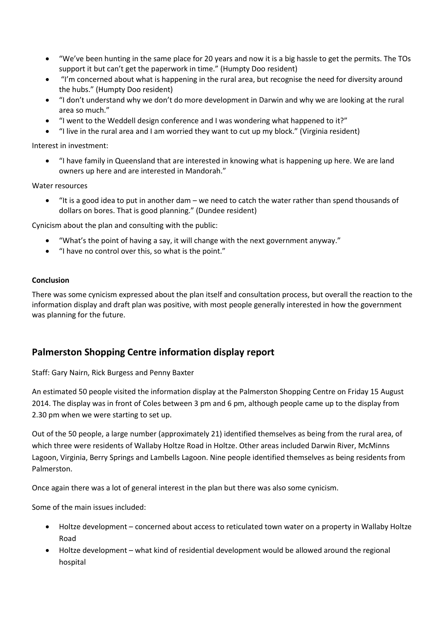- "We've been hunting in the same place for 20 years and now it is a big hassle to get the permits. The TOs support it but can't get the paperwork in time." (Humpty Doo resident)
- "I'm concerned about what is happening in the rural area, but recognise the need for diversity around the hubs." (Humpty Doo resident)
- "I don't understand why we don't do more development in Darwin and why we are looking at the rural area so much."
- "I went to the Weddell design conference and I was wondering what happened to it?"
- "I live in the rural area and I am worried they want to cut up my block." (Virginia resident)

Interest in investment:

 "I have family in Queensland that are interested in knowing what is happening up here. We are land owners up here and are interested in Mandorah."

Water resources

"It is a good idea to put in another dam  $-$  we need to catch the water rather than spend thousands of dollars on bores. That is good planning." (Dundee resident)

Cynicism about the plan and consulting with the public:

- "What's the point of having a say, it will change with the next government anyway."
- "I have no control over this, so what is the point."

#### **Conclusion**

There was some cynicism expressed about the plan itself and consultation process, but overall the reaction to the information display and draft plan was positive, with most people generally interested in how the government was planning for the future.

# **Palmerston Shopping Centre information display report**

Staff: Gary Nairn, Rick Burgess and Penny Baxter

An estimated 50 people visited the information display at the Palmerston Shopping Centre on Friday 15 August 2014. The display was in front of Coles between 3 pm and 6 pm, although people came up to the display from 2.30 pm when we were starting to set up.

Out of the 50 people, a large number (approximately 21) identified themselves as being from the rural area, of which three were residents of Wallaby Holtze Road in Holtze. Other areas included Darwin River, McMinns Lagoon, Virginia, Berry Springs and Lambells Lagoon. Nine people identified themselves as being residents from Palmerston.

Once again there was a lot of general interest in the plan but there was also some cynicism.

Some of the main issues included:

- Holtze development concerned about access to reticulated town water on a property in Wallaby Holtze Road
- Holtze development what kind of residential development would be allowed around the regional hospital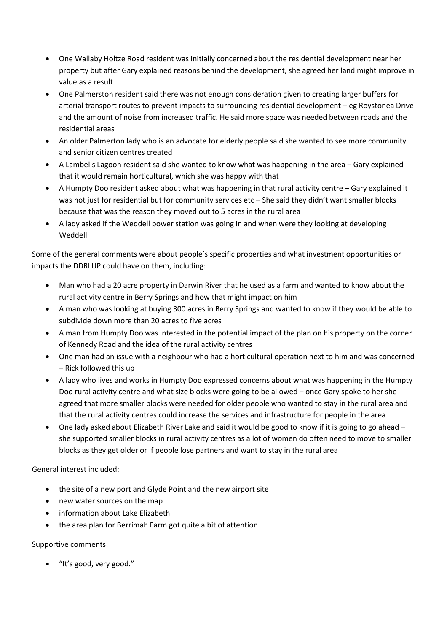- One Wallaby Holtze Road resident was initially concerned about the residential development near her property but after Gary explained reasons behind the development, she agreed her land might improve in value as a result
- One Palmerston resident said there was not enough consideration given to creating larger buffers for arterial transport routes to prevent impacts to surrounding residential development – eg Roystonea Drive and the amount of noise from increased traffic. He said more space was needed between roads and the residential areas
- An older Palmerton lady who is an advocate for elderly people said she wanted to see more community and senior citizen centres created
- A Lambells Lagoon resident said she wanted to know what was happening in the area Gary explained that it would remain horticultural, which she was happy with that
- A Humpty Doo resident asked about what was happening in that rural activity centre Gary explained it was not just for residential but for community services etc – She said they didn't want smaller blocks because that was the reason they moved out to 5 acres in the rural area
- A lady asked if the Weddell power station was going in and when were they looking at developing Weddell

Some of the general comments were about people's specific properties and what investment opportunities or impacts the DDRLUP could have on them, including:

- Man who had a 20 acre property in Darwin River that he used as a farm and wanted to know about the rural activity centre in Berry Springs and how that might impact on him
- A man who was looking at buying 300 acres in Berry Springs and wanted to know if they would be able to subdivide down more than 20 acres to five acres
- A man from Humpty Doo was interested in the potential impact of the plan on his property on the corner of Kennedy Road and the idea of the rural activity centres
- One man had an issue with a neighbour who had a horticultural operation next to him and was concerned – Rick followed this up
- A lady who lives and works in Humpty Doo expressed concerns about what was happening in the Humpty Doo rural activity centre and what size blocks were going to be allowed – once Gary spoke to her she agreed that more smaller blocks were needed for older people who wanted to stay in the rural area and that the rural activity centres could increase the services and infrastructure for people in the area
- One lady asked about Elizabeth River Lake and said it would be good to know if it is going to go ahead she supported smaller blocks in rural activity centres as a lot of women do often need to move to smaller blocks as they get older or if people lose partners and want to stay in the rural area

General interest included:

- the site of a new port and Glyde Point and the new airport site
- new water sources on the map
- information about Lake Elizabeth
- the area plan for Berrimah Farm got quite a bit of attention

Supportive comments:

"It's good, very good."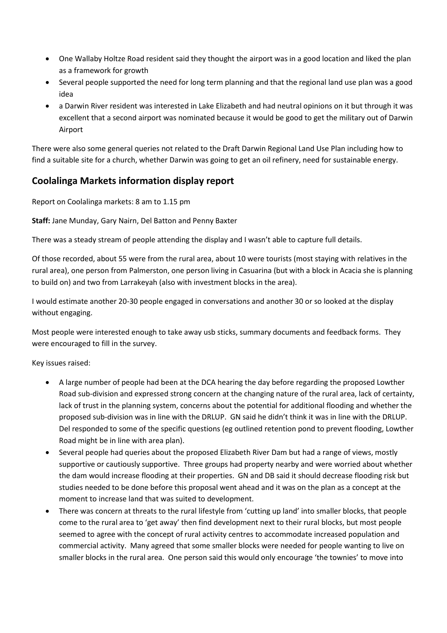- One Wallaby Holtze Road resident said they thought the airport was in a good location and liked the plan as a framework for growth
- Several people supported the need for long term planning and that the regional land use plan was a good idea
- a Darwin River resident was interested in Lake Elizabeth and had neutral opinions on it but through it was excellent that a second airport was nominated because it would be good to get the military out of Darwin Airport

There were also some general queries not related to the Draft Darwin Regional Land Use Plan including how to find a suitable site for a church, whether Darwin was going to get an oil refinery, need for sustainable energy.

# **Coolalinga Markets information display report**

Report on Coolalinga markets: 8 am to 1.15 pm

**Staff:** Jane Munday, Gary Nairn, Del Batton and Penny Baxter

There was a steady stream of people attending the display and I wasn't able to capture full details.

Of those recorded, about 55 were from the rural area, about 10 were tourists (most staying with relatives in the rural area), one person from Palmerston, one person living in Casuarina (but with a block in Acacia she is planning to build on) and two from Larrakeyah (also with investment blocks in the area).

I would estimate another 20-30 people engaged in conversations and another 30 or so looked at the display without engaging.

Most people were interested enough to take away usb sticks, summary documents and feedback forms. They were encouraged to fill in the survey.

Key issues raised:

- A large number of people had been at the DCA hearing the day before regarding the proposed Lowther Road sub-division and expressed strong concern at the changing nature of the rural area, lack of certainty, lack of trust in the planning system, concerns about the potential for additional flooding and whether the proposed sub-division was in line with the DRLUP. GN said he didn't think it was in line with the DRLUP. Del responded to some of the specific questions (eg outlined retention pond to prevent flooding, Lowther Road might be in line with area plan).
- Several people had queries about the proposed Elizabeth River Dam but had a range of views, mostly supportive or cautiously supportive. Three groups had property nearby and were worried about whether the dam would increase flooding at their properties. GN and DB said it should decrease flooding risk but studies needed to be done before this proposal went ahead and it was on the plan as a concept at the moment to increase land that was suited to development.
- There was concern at threats to the rural lifestyle from 'cutting up land' into smaller blocks, that people come to the rural area to 'get away' then find development next to their rural blocks, but most people seemed to agree with the concept of rural activity centres to accommodate increased population and commercial activity. Many agreed that some smaller blocks were needed for people wanting to live on smaller blocks in the rural area. One person said this would only encourage 'the townies' to move into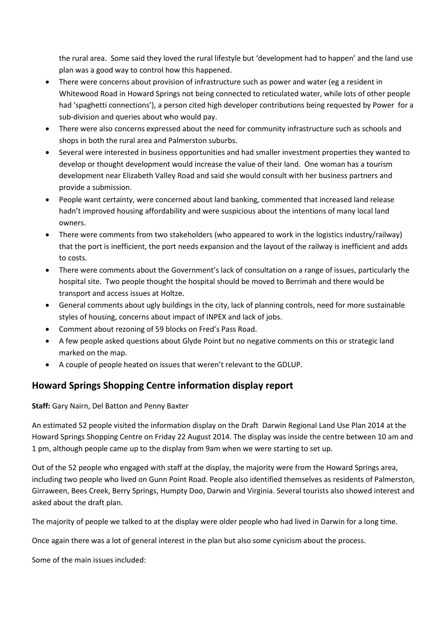the rural area. Some said they loved the rural lifestyle but 'development had to happen' and the land use plan was a good way to control how this happened.

- There were concerns about provision of infrastructure such as power and water (eg a resident in Whitewood Road in Howard Springs not being connected to reticulated water, while lots of other people had 'spaghetti connections'), a person cited high developer contributions being requested by Power for a sub-division and queries about who would pay.
- There were also concerns expressed about the need for community infrastructure such as schools and shops in both the rural area and Palmerston suburbs.
- Several were interested in business opportunities and had smaller investment properties they wanted to develop or thought development would increase the value of their land. One woman has a tourism development near Elizabeth Valley Road and said she would consult with her business partners and provide a submission.
- People want certainty, were concerned about land banking, commented that increased land release hadn't improved housing affordability and were suspicious about the intentions of many local land owners.
- There were comments from two stakeholders (who appeared to work in the logistics industry/railway) that the port is inefficient, the port needs expansion and the layout of the railway is inefficient and adds to costs.
- There were comments about the Government's lack of consultation on a range of issues, particularly the hospital site. Two people thought the hospital should be moved to Berrimah and there would be transport and access issues at Holtze.
- General comments about ugly buildings in the city, lack of planning controls, need for more sustainable styles of housing, concerns about impact of INPEX and lack of jobs.
- Comment about rezoning of 59 blocks on Fred's Pass Road.
- A few people asked questions about Glyde Point but no negative comments on this or strategic land marked on the map.
- A couple of people heated on issues that weren't relevant to the GDLUP.

# **Howard Springs Shopping Centre information display report**

**Staff:** Gary Nairn, Del Batton and Penny Baxter

An estimated 52 people visited the information display on the Draft Darwin Regional Land Use Plan 2014 at the Howard Springs Shopping Centre on Friday 22 August 2014. The display was inside the centre between 10 am and 1 pm, although people came up to the display from 9am when we were starting to set up.

Out of the 52 people who engaged with staff at the display, the majority were from the Howard Springs area, including two people who lived on Gunn Point Road. People also identified themselves as residents of Palmerston, Girraween, Bees Creek, Berry Springs, Humpty Doo, Darwin and Virginia. Several tourists also showed interest and asked about the draft plan.

The majority of people we talked to at the display were older people who had lived in Darwin for a long time.

Once again there was a lot of general interest in the plan but also some cynicism about the process.

Some of the main issues included: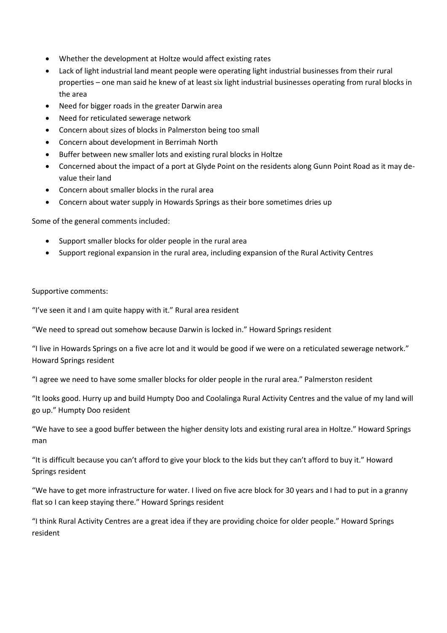- Whether the development at Holtze would affect existing rates
- Lack of light industrial land meant people were operating light industrial businesses from their rural properties – one man said he knew of at least six light industrial businesses operating from rural blocks in the area
- Need for bigger roads in the greater Darwin area
- Need for reticulated sewerage network
- Concern about sizes of blocks in Palmerston being too small
- Concern about development in Berrimah North
- Buffer between new smaller lots and existing rural blocks in Holtze
- Concerned about the impact of a port at Glyde Point on the residents along Gunn Point Road as it may devalue their land
- Concern about smaller blocks in the rural area
- Concern about water supply in Howards Springs as their bore sometimes dries up

Some of the general comments included:

- Support smaller blocks for older people in the rural area
- Support regional expansion in the rural area, including expansion of the Rural Activity Centres

#### Supportive comments:

"I've seen it and I am quite happy with it." Rural area resident

"We need to spread out somehow because Darwin is locked in." Howard Springs resident

"I live in Howards Springs on a five acre lot and it would be good if we were on a reticulated sewerage network." Howard Springs resident

"I agree we need to have some smaller blocks for older people in the rural area." Palmerston resident

"It looks good. Hurry up and build Humpty Doo and Coolalinga Rural Activity Centres and the value of my land will go up." Humpty Doo resident

"We have to see a good buffer between the higher density lots and existing rural area in Holtze." Howard Springs man

"It is difficult because you can't afford to give your block to the kids but they can't afford to buy it." Howard Springs resident

"We have to get more infrastructure for water. I lived on five acre block for 30 years and I had to put in a granny flat so I can keep staying there." Howard Springs resident

"I think Rural Activity Centres are a great idea if they are providing choice for older people." Howard Springs resident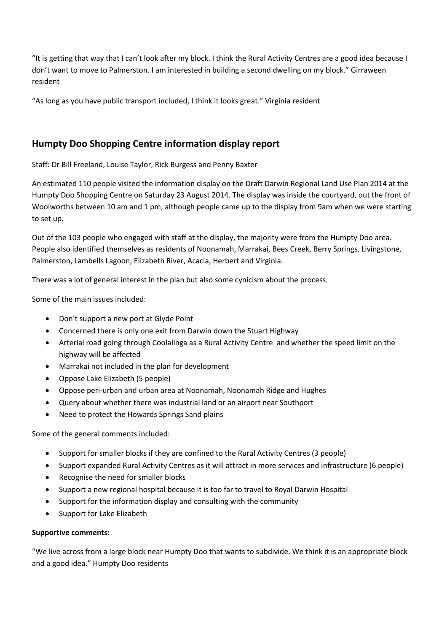"It is getting that way that I can't look after my block. I think the Rural Activity Centres are a good idea because I don't want to move to Palmerston. I am interested in building a second dwelling on my block." Girraween resident

"As long as you have public transport included, I think it looks great." Virginia resident

# **Humpty Doo Shopping Centre information display report**

Staff: Dr Bill Freeland, Louise Taylor, Rick Burgess and Penny Baxter

An estimated 110 people visited the information display on the Draft Darwin Regional Land Use Plan 2014 at the Humpty Doo Shopping Centre on Saturday 23 August 2014. The display was inside the courtyard, out the front of Woolworths between 10 am and 1 pm, although people came up to the display from 9am when we were starting to set up.

Out of the 103 people who engaged with staff at the display, the majority were from the Humpty Doo area. People also identified themselves as residents of Noonamah, Marrakai, Bees Creek, Berry Springs, Livingstone, Palmerston, Lambells Lagoon, Elizabeth River, Acacia, Herbert and Virginia.

There was a lot of general interest in the plan but also some cynicism about the process.

Some of the main issues included:

- Don't support a new port at Glyde Point
- Concerned there is only one exit from Darwin down the Stuart Highway
- Arterial road going through Coolalinga as a Rural Activity Centre and whether the speed limit on the highway will be affected
- Marrakai not included in the plan for development
- Oppose Lake Elizabeth (5 people)
- Oppose peri-urban and urban area at Noonamah, Noonamah Ridge and Hughes
- Query about whether there was industrial land or an airport near Southport
- Need to protect the Howards Springs Sand plains

Some of the general comments included:

- Support for smaller blocks if they are confined to the Rural Activity Centres (3 people)
- Support expanded Rural Activity Centres as it will attract in more services and infrastructure (6 people)
- Recognise the need for smaller blocks
- Support a new regional hospital because it is too far to travel to Royal Darwin Hospital
- Support for the information display and consulting with the community
- Support for Lake Elizabeth

## **Supportive comments:**

"We live across from a large block near Humpty Doo that wants to subdivide. We think it is an appropriate block and a good idea." Humpty Doo residents